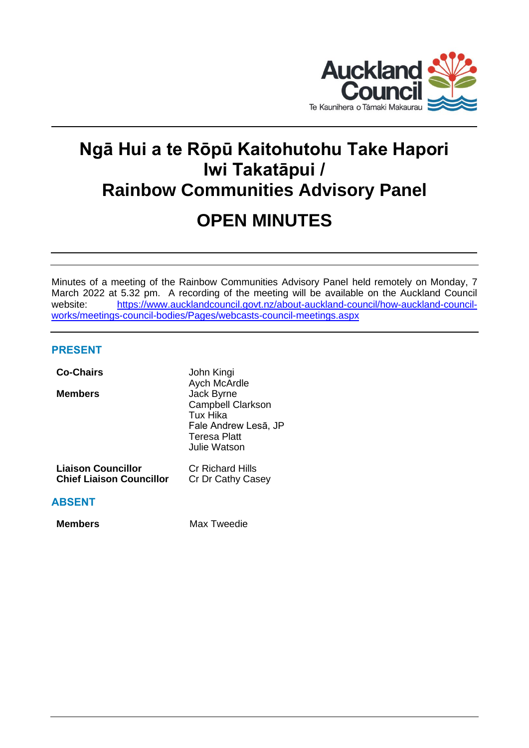

# **Ngā Hui a te Rōpū Kaitohutohu Take Hapori Iwi Takatāpui / Rainbow Communities Advisory Panel OPEN MINUTES**

Minutes of a meeting of the Rainbow Communities Advisory Panel held remotely on Monday, 7 March 2022 at 5.32 pm. A recording of the meeting will be available on the Auckland Council website: [https://www.aucklandcouncil.govt.nz/about-auckland-council/how-auckland-council](https://www.aucklandcouncil.govt.nz/about-auckland-council/how-auckland-council-works/meetings-council-bodies/Pages/webcasts-council-meetings.aspx)[works/meetings-council-bodies/Pages/webcasts-council-meetings.aspx](https://www.aucklandcouncil.govt.nz/about-auckland-council/how-auckland-council-works/meetings-council-bodies/Pages/webcasts-council-meetings.aspx)

# **PRESENT**

| <b>Co-Chairs</b>                                             | John Kingi<br>Aych McArdle                                                                                 |
|--------------------------------------------------------------|------------------------------------------------------------------------------------------------------------|
| <b>Members</b>                                               | Jack Byrne<br><b>Campbell Clarkson</b><br>Tux Hika<br>Fale Andrew Lesā, JP<br>Teresa Platt<br>Julie Watson |
| <b>Liaison Councillor</b><br><b>Chief Liaison Councillor</b> | Cr Richard Hills<br>Cr Dr Cathy Casey                                                                      |
| <b>ABSENT</b>                                                |                                                                                                            |
| Members                                                      | Max Tweedie                                                                                                |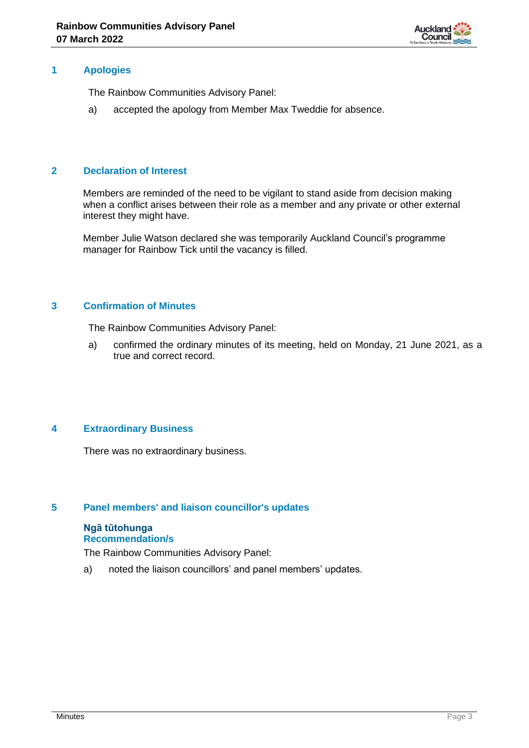

## **1 Apologies**

The Rainbow Communities Advisory Panel:

a) accepted the apology from Member Max Tweddie for absence.

# **2 Declaration of Interest**

Members are reminded of the need to be vigilant to stand aside from decision making when a conflict arises between their role as a member and any private or other external interest they might have.

Member Julie Watson declared she was temporarily Auckland Council's programme manager for Rainbow Tick until the vacancy is filled.

# **3 Confirmation of Minutes**

The Rainbow Communities Advisory Panel:

a) confirmed the ordinary minutes of its meeting, held on Monday, 21 June 2021, as a true and correct record.

# **4 Extraordinary Business**

There was no extraordinary business.

### **5 Panel members' and liaison councillor's updates**

#### **Ngā tūtohunga Recommendation/s**

The Rainbow Communities Advisory Panel:

a) noted the liaison councillors' and panel members' updates.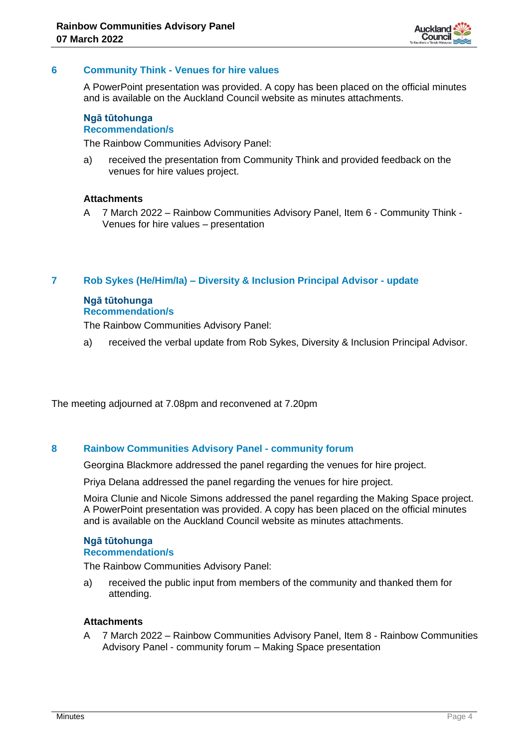

## **6 Community Think - Venues for hire values**

A PowerPoint presentation was provided. A copy has been placed on the official minutes and is available on the Auckland Council website as minutes attachments.

#### **Ngā tūtohunga Recommendation/s**

The Rainbow Communities Advisory Panel:

a) received the presentation from Community Think and provided feedback on the venues for hire values project.

## **Attachments**

A 7 March 2022 – Rainbow Communities Advisory Panel, Item 6 - Community Think - Venues for hire values – presentation

#### **7 Rob Sykes (He/Him/Ia) – Diversity & Inclusion Principal Advisor - update**

# **Ngā tūtohunga Recommendation/s**

The Rainbow Communities Advisory Panel:

a) received the verbal update from Rob Sykes, Diversity & Inclusion Principal Advisor.

The meeting adjourned at 7.08pm and reconvened at 7.20pm

#### **8 Rainbow Communities Advisory Panel - community forum**

Georgina Blackmore addressed the panel regarding the venues for hire project.

Priya Delana addressed the panel regarding the venues for hire project.

Moira Clunie and Nicole Simons addressed the panel regarding the Making Space project. A PowerPoint presentation was provided. A copy has been placed on the official minutes and is available on the Auckland Council website as minutes attachments.

#### **Ngā tūtohunga Recommendation/s**

The Rainbow Communities Advisory Panel:

a) received the public input from members of the community and thanked them for attending.

#### **Attachments**

A 7 March 2022 – Rainbow Communities Advisory Panel, Item 8 - Rainbow Communities Advisory Panel - community forum – Making Space presentation